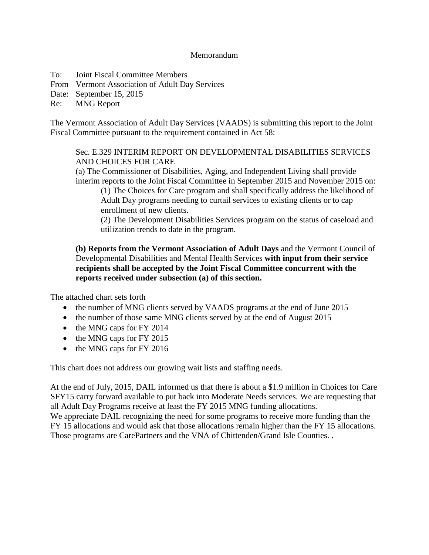## Memorandum

To: Joint Fiscal Committee Members

From Vermont Association of Adult Day Services

Date: September 15, 2015

Re: MNG Report

The Vermont Association of Adult Day Services (VAADS) is submitting this report to the Joint Fiscal Committee pursuant to the requirement contained in Act 58:

## Sec. E.329 INTERIM REPORT ON DEVELOPMENTAL DISABILITIES SERVICES AND CHOICES FOR CARE

(a) The Commissioner of Disabilities, Aging, and Independent Living shall provide interim reports to the Joint Fiscal Committee in September 2015 and November 2015 on:

(1) The Choices for Care program and shall specifically address the likelihood of Adult Day programs needing to curtail services to existing clients or to cap enrollment of new clients.

(2) The Development Disabilities Services program on the status of caseload and utilization trends to date in the program.

**(b) Reports from the Vermont Association of Adult Days** and the Vermont Council of Developmental Disabilities and Mental Health Services **with input from their service recipients shall be accepted by the Joint Fiscal Committee concurrent with the reports received under subsection (a) of this section.**

The attached chart sets forth

- the number of MNG clients served by VAADS programs at the end of June 2015
- the number of those same MNG clients served by at the end of August 2015
- the MNG caps for FY 2014
- the MNG caps for FY 2015
- the MNG caps for FY 2016

This chart does not address our growing wait lists and staffing needs.

At the end of July, 2015, DAIL informed us that there is about a \$1.9 million in Choices for Care SFY15 carry forward available to put back into Moderate Needs services. We are requesting that all Adult Day Programs receive at least the FY 2015 MNG funding allocations.

We appreciate DAIL recognizing the need for some programs to receive more funding than the FY 15 allocations and would ask that those allocations remain higher than the FY 15 allocations. Those programs are CarePartners and the VNA of Chittenden/Grand Isle Counties. .